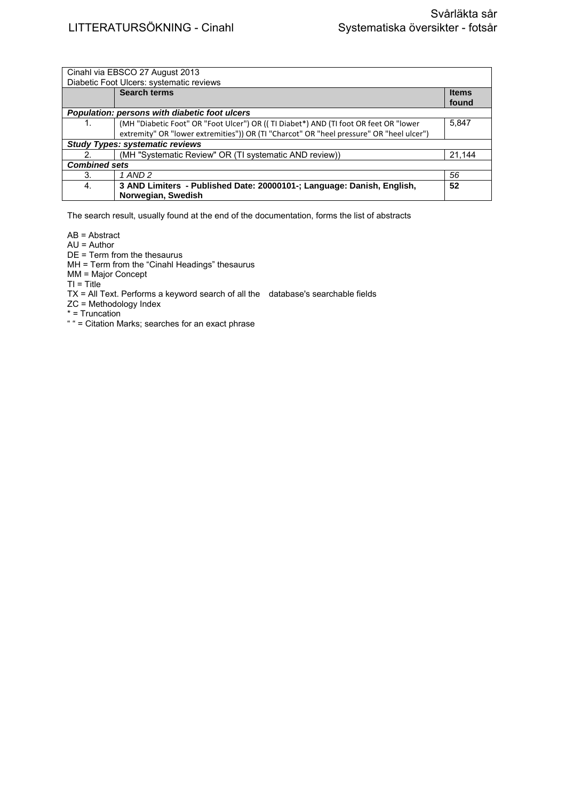| Cinahl via EBSCO 27 August 2013               |                                                                                          |              |  |  |
|-----------------------------------------------|------------------------------------------------------------------------------------------|--------------|--|--|
| Diabetic Foot Ulcers: systematic reviews      |                                                                                          |              |  |  |
|                                               | <b>Search terms</b>                                                                      | <b>Items</b> |  |  |
|                                               |                                                                                          | found        |  |  |
| Population: persons with diabetic foot ulcers |                                                                                          |              |  |  |
| 1.                                            | (MH "Diabetic Foot" OR "Foot Ulcer") OR ((TI Diabet*) AND (TI foot OR feet OR "lower     | 5,847        |  |  |
|                                               | extremity" OR "lower extremities")) OR (TI "Charcot" OR "heel pressure" OR "heel ulcer") |              |  |  |
| <b>Study Types: systematic reviews</b>        |                                                                                          |              |  |  |
| 2 <sub>1</sub>                                | (MH "Systematic Review" OR (TI systematic AND review))                                   | 21.144       |  |  |
| <b>Combined sets</b>                          |                                                                                          |              |  |  |
| 3.                                            | 1 AND 2                                                                                  | 56           |  |  |
| 4.                                            | 3 AND Limiters - Published Date: 20000101-; Language: Danish, English,                   | 52           |  |  |
|                                               | Norwegian, Swedish                                                                       |              |  |  |

The search result, usually found at the end of the documentation, forms the list of abstracts

AB = Abstract

AU = Author

DE = Term from the thesaurus

MH = Term from the "Cinahl Headings" thesaurus

MM = Major Concept

 $TI = Title$ 

TX = All Text. Performs a keyword search of all the database's searchable fields

ZC = Methodology Index

\* = Truncation

" = Citation Marks; searches for an exact phrase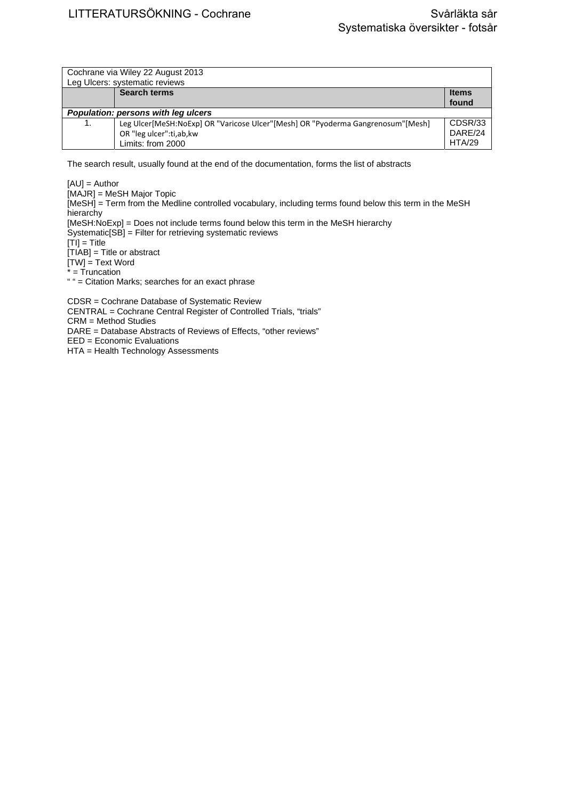| Cochrane via Wiley 22 August 2013<br>Leg Ulcers: systematic reviews |                                                                                 |              |  |  |
|---------------------------------------------------------------------|---------------------------------------------------------------------------------|--------------|--|--|
|                                                                     | <b>Search terms</b>                                                             | <b>Items</b> |  |  |
|                                                                     |                                                                                 | found        |  |  |
| Population: persons with leg ulcers                                 |                                                                                 |              |  |  |
| 1.                                                                  | Leg Ulcer[MeSH:NoExp] OR "Varicose Ulcer"[Mesh] OR "Pyoderma Gangrenosum"[Mesh] | CDSR/33      |  |  |
|                                                                     | OR "leg ulcer":ti,ab,kw                                                         | DARE/24      |  |  |
|                                                                     | Limits: from 2000                                                               | HTA/29       |  |  |

The search result, usually found at the end of the documentation, forms the list of abstracts

[AU] = Author

[MAJR] = MeSH Major Topic

[MeSH] = Term from the Medline controlled vocabulary, including terms found below this term in the MeSH **hierarchy** 

[MeSH:NoExp] = Does not include terms found below this term in the MeSH hierarchy Systematic[SB] = Filter for retrieving systematic reviews

 $|T1| = T$ itle

[TIAB] = Title or abstract

[TW] = Text Word

\* = Truncation

" " = Citation Marks; searches for an exact phrase

CDSR = Cochrane Database of Systematic Review CENTRAL = Cochrane Central Register of Controlled Trials, "trials" CRM = Method Studies DARE = Database Abstracts of Reviews of Effects, "other reviews" EED = Economic Evaluations

HTA = Health Technology Assessments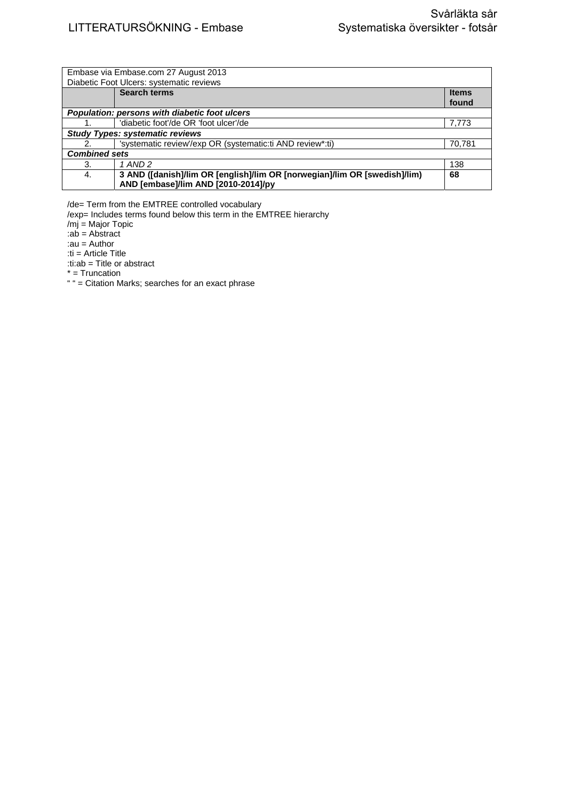| Embase via Embase.com 27 August 2013          |                                                                           |              |  |  |
|-----------------------------------------------|---------------------------------------------------------------------------|--------------|--|--|
| Diabetic Foot Ulcers: systematic reviews      |                                                                           |              |  |  |
|                                               | <b>Search terms</b>                                                       | <b>Items</b> |  |  |
|                                               |                                                                           | found        |  |  |
| Population: persons with diabetic foot ulcers |                                                                           |              |  |  |
|                                               | 'diabetic foot'/de OR 'foot ulcer'/de                                     | 7,773        |  |  |
| <b>Study Types: systematic reviews</b>        |                                                                           |              |  |  |
| 2.                                            | 'systematic review'/exp OR (systematic:ti AND review*:ti)                 | 70,781       |  |  |
| <b>Combined sets</b>                          |                                                                           |              |  |  |
| 3.                                            | 1 AND 2                                                                   | 138          |  |  |
| 4.                                            | 3 AND ([danish]/lim OR [english]/lim OR [norwegian]/lim OR [swedish]/lim) | 68           |  |  |
|                                               | AND [embase]/lim AND [2010-2014]/py                                       |              |  |  |

/de= Term from the EMTREE controlled vocabulary

/exp= Includes terms found below this term in the EMTREE hierarchy

/mj = Major Topic

:ab = Abstract

:au = Author

:ti = Article Title

:ti:ab = Title or abstract

\* = Truncation

" " = Citation Marks; searches for an exact phrase